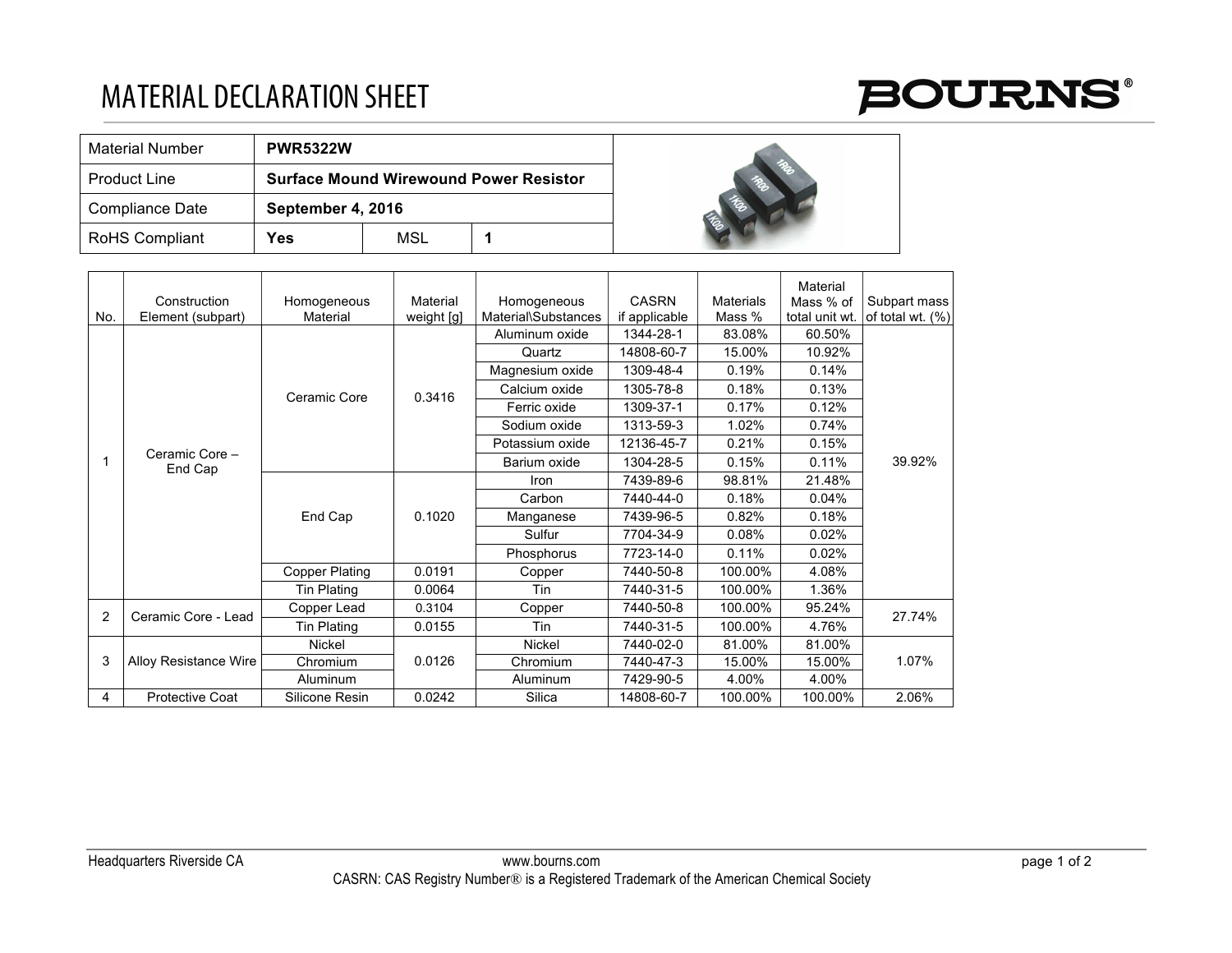## MATERIAL DECLARATION SHEET



| <b>Material Number</b> | <b>PWR5322W</b>                               |     |  |  |  |
|------------------------|-----------------------------------------------|-----|--|--|--|
| l Product Line         | <b>Surface Mound Wirewound Power Resistor</b> |     |  |  |  |
| Compliance Date        | September 4, 2016                             |     |  |  |  |
| RoHS Compliant         | Yes                                           | MSL |  |  |  |



|     |                              |                       |            |                     |               |                  | Material       |                  |
|-----|------------------------------|-----------------------|------------|---------------------|---------------|------------------|----------------|------------------|
|     | Construction                 | Homogeneous           | Material   | Homogeneous         | <b>CASRN</b>  | <b>Materials</b> | Mass % of      | Subpart mass     |
| No. | Element (subpart)            | Material              | weight [g] | Material\Substances | if applicable | Mass %           | total unit wt. | of total wt. (%) |
|     | Ceramic Core -<br>End Cap    | Ceramic Core          | 0.3416     | Aluminum oxide      | 1344-28-1     | 83.08%           | 60.50%         | 39.92%           |
|     |                              |                       |            | Quartz              | 14808-60-7    | 15.00%           | 10.92%         |                  |
|     |                              |                       |            | Magnesium oxide     | 1309-48-4     | 0.19%            | 0.14%          |                  |
|     |                              |                       |            | Calcium oxide       | 1305-78-8     | 0.18%            | 0.13%          |                  |
|     |                              |                       |            | Ferric oxide        | 1309-37-1     | 0.17%            | 0.12%          |                  |
|     |                              |                       |            | Sodium oxide        | 1313-59-3     | 1.02%            | 0.74%          |                  |
|     |                              |                       |            | Potassium oxide     | 12136-45-7    | 0.21%            | 0.15%          |                  |
|     |                              |                       |            | Barium oxide        | 1304-28-5     | 0.15%            | 0.11%          |                  |
|     |                              | End Cap               |            | Iron                | 7439-89-6     | 98.81%           | 21.48%         |                  |
|     |                              |                       | 0.1020     | Carbon              | 7440-44-0     | 0.18%            | 0.04%          |                  |
|     |                              |                       |            | Manganese           | 7439-96-5     | 0.82%            | 0.18%          |                  |
|     |                              |                       |            | Sulfur              | 7704-34-9     | 0.08%            | 0.02%          |                  |
|     |                              |                       |            | Phosphorus          | 7723-14-0     | 0.11%            | 0.02%          |                  |
|     |                              | <b>Copper Plating</b> | 0.0191     | Copper              | 7440-50-8     | 100.00%          | 4.08%          |                  |
|     |                              | Tin Plating           | 0.0064     | Tin                 | 7440-31-5     | 100.00%          | 1.36%          |                  |
| 2   | Ceramic Core - Lead          | Copper Lead           | 0.3104     | Copper              | 7440-50-8     | 100.00%          | 95.24%         | 27.74%           |
|     |                              | Tin Plating           | 0.0155     | Tin                 | 7440-31-5     | 100.00%          | 4.76%          |                  |
| 3   | <b>Alloy Resistance Wire</b> | <b>Nickel</b>         | 0.0126     | Nickel              | 7440-02-0     | 81.00%           | 81.00%         | 1.07%            |
|     |                              | Chromium              |            | Chromium            | 7440-47-3     | 15.00%           | 15.00%         |                  |
|     |                              | Aluminum              |            | Aluminum            | 7429-90-5     | 4.00%            | 4.00%          |                  |
| 4   | <b>Protective Coat</b>       | Silicone Resin        | 0.0242     | Silica              | 14808-60-7    | 100.00%          | 100.00%        | 2.06%            |